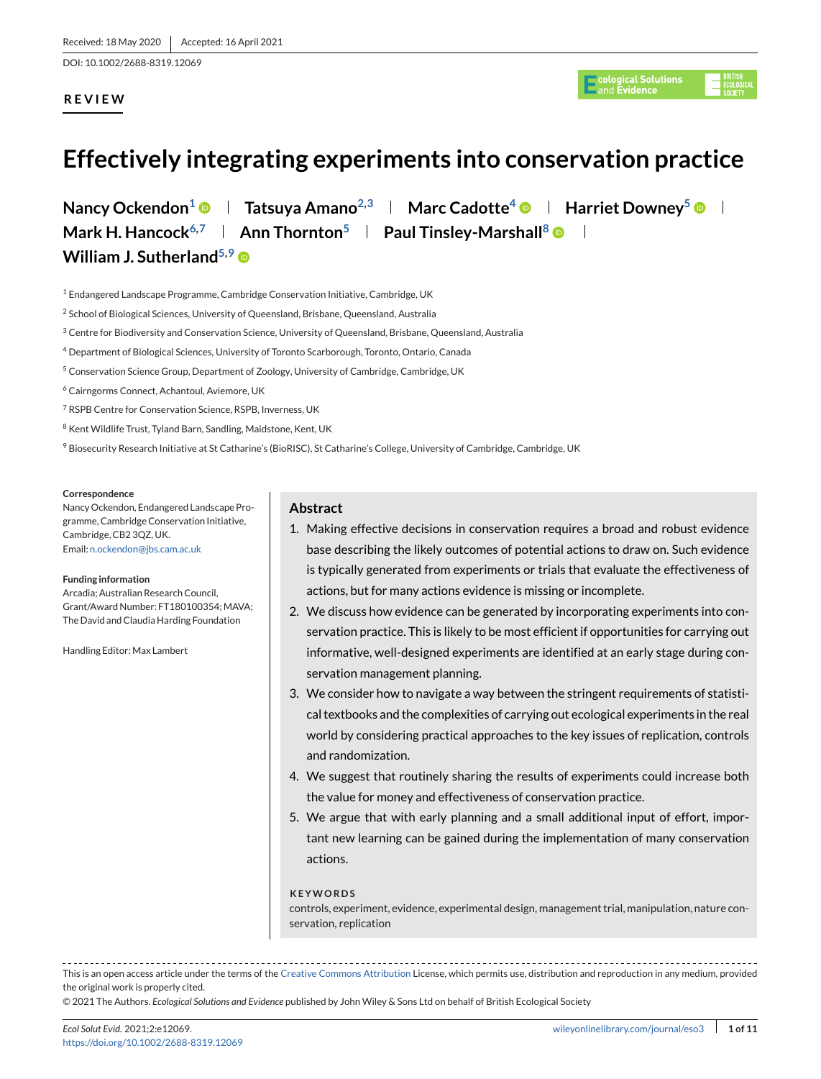DOI: 10.1002/2688-8319.12069

# **REVIEW**

gical Solutions<br>Evidence

# **Effectively integrating experiments into conservation practice**

**Nancy Ockendon<sup>1</sup>**  $\bullet$  **| Tatsuya Amano<sup>2,3</sup> | Marc Cadotte<sup>4</sup>**  $\bullet$  **| Harriet Downey<sup>5</sup>**  $\bullet$  **| Mark H. Hancock**<sup>6,7</sup> **Ann Thornton**<sup>5</sup> **Paul Tinsley-Marshall**<sup>8</sup> • 1 **William J. Sutherland<sup>5,9</sup> ®** 

<sup>1</sup> Endangered Landscape Programme, Cambridge Conservation Initiative, Cambridge, UK

- <sup>2</sup> School of Biological Sciences, University of Queensland, Brisbane, Queensland, Australia
- <sup>3</sup> Centre for Biodiversity and Conservation Science, University of Queensland, Brisbane, Queensland, Australia
- <sup>4</sup> Department of Biological Sciences, University of Toronto Scarborough, Toronto, Ontario, Canada
- <sup>5</sup> Conservation Science Group, Department of Zoology, University of Cambridge, Cambridge, UK
- <sup>6</sup> Cairngorms Connect, Achantoul, Aviemore, UK
- <sup>7</sup> RSPB Centre for Conservation Science, RSPB, Inverness, UK
- <sup>8</sup> Kent Wildlife Trust, Tyland Barn, Sandling, Maidstone, Kent, UK
- 9 Biosecurity Research Initiative at St Catharine's (BioRISC), St Catharine's College, University of Cambridge, Cambridge, UK

#### **Correspondence**

Nancy Ockendon, Endangered Landscape Programme, Cambridge Conservation Initiative, Cambridge, CB2 3QZ, UK. Email: [n.ockendon@jbs.cam.ac.uk](mailto:n.ockendon@jbs.cam.ac.uk)

#### **Funding information**

Arcadia; Australian Research Council, Grant/Award Number: FT180100354: MAVA: The David and Claudia Harding Foundation

Handling Editor: Max Lambert

### **Abstract**

- 1. Making effective decisions in conservation requires a broad and robust evidence base describing the likely outcomes of potential actions to draw on. Such evidence is typically generated from experiments or trials that evaluate the effectiveness of actions, but for many actions evidence is missing or incomplete.
- 2. We discuss how evidence can be generated by incorporating experiments into conservation practice. This is likely to be most efficient if opportunities for carrying out informative, well-designed experiments are identified at an early stage during conservation management planning.
- 3. We consider how to navigate a way between the stringent requirements of statistical textbooks and the complexities of carrying out ecological experiments in the real world by considering practical approaches to the key issues of replication, controls and randomization.
- 4. We suggest that routinely sharing the results of experiments could increase both the value for money and effectiveness of conservation practice.
- 5. We argue that with early planning and a small additional input of effort, important new learning can be gained during the implementation of many conservation actions.

#### **KEYWORDS**

controls, experiment, evidence, experimental design, management trial, manipulation, nature conservation, replication

This is an open access article under the terms of the [Creative Commons Attribution](http://creativecommons.org/licenses/by/4.0/) License, which permits use, distribution and reproduction in any medium, provided the original work is properly cited.

© 2021 The Authors. *Ecological Solutions and Evidence* published by John Wiley & Sons Ltd on behalf of British Ecological Society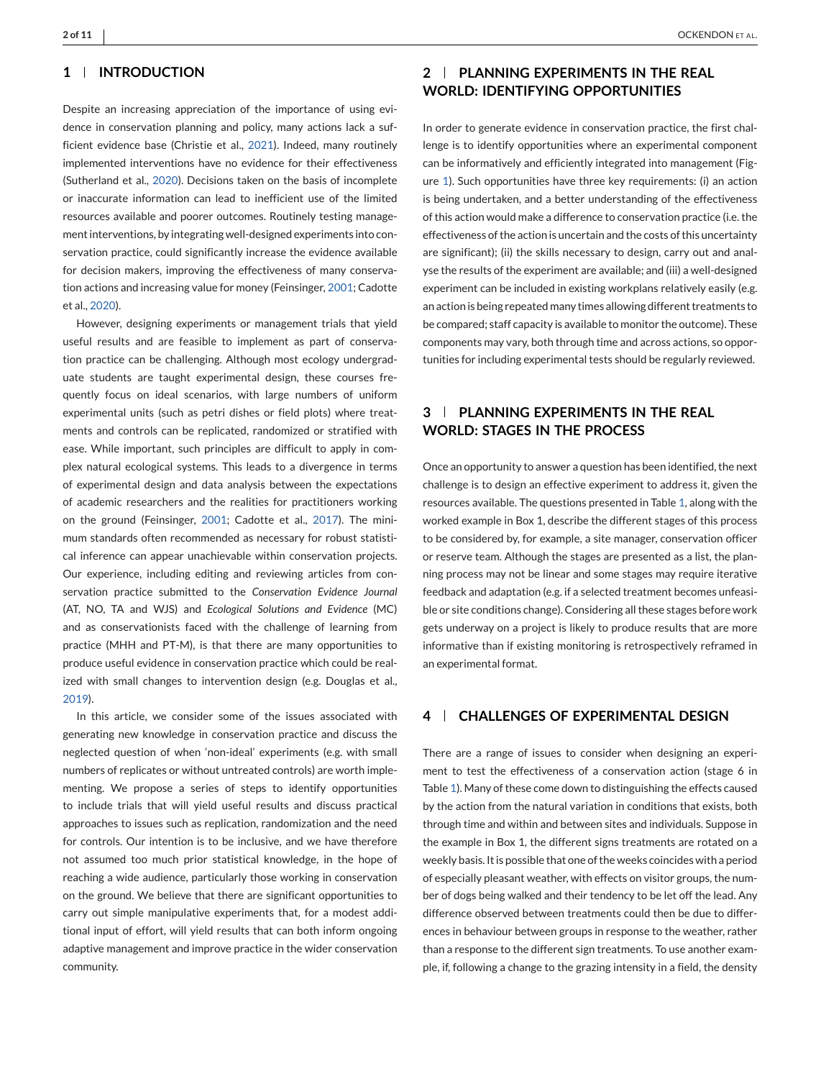### **1 INTRODUCTION**

Despite an increasing appreciation of the importance of using evidence in conservation planning and policy, many actions lack a sufficient evidence base (Christie et al., [2021\)](#page-9-0). Indeed, many routinely implemented interventions have no evidence for their effectiveness (Sutherland et al., [2020\)](#page-9-0). Decisions taken on the basis of incomplete or inaccurate information can lead to inefficient use of the limited resources available and poorer outcomes. Routinely testing management interventions, by integrating well-designed experiments into conservation practice, could significantly increase the evidence available for decision makers, improving the effectiveness of many conservation actions and increasing value for money (Feinsinger, [2001;](#page-9-0) Cadotte et al., [2020\)](#page-9-0).

However, designing experiments or management trials that yield useful results and are feasible to implement as part of conservation practice can be challenging. Although most ecology undergraduate students are taught experimental design, these courses frequently focus on ideal scenarios, with large numbers of uniform experimental units (such as petri dishes or field plots) where treatments and controls can be replicated, randomized or stratified with ease. While important, such principles are difficult to apply in complex natural ecological systems. This leads to a divergence in terms of experimental design and data analysis between the expectations of academic researchers and the realities for practitioners working on the ground (Feinsinger, [2001;](#page-9-0) Cadotte et al., [2017\)](#page-9-0). The minimum standards often recommended as necessary for robust statistical inference can appear unachievable within conservation projects. Our experience, including editing and reviewing articles from conservation practice submitted to the *Conservation Evidence Journal* (AT, NO, TA and WJS) and *Ecological Solutions and Evidence* (MC) and as conservationists faced with the challenge of learning from practice (MHH and PT-M), is that there are many opportunities to produce useful evidence in conservation practice which could be realized with small changes to intervention design (e.g. Douglas et al., [2019\)](#page-9-0).

In this article, we consider some of the issues associated with generating new knowledge in conservation practice and discuss the neglected question of when 'non-ideal' experiments (e.g. with small numbers of replicates or without untreated controls) are worth implementing. We propose a series of steps to identify opportunities to include trials that will yield useful results and discuss practical approaches to issues such as replication, randomization and the need for controls. Our intention is to be inclusive, and we have therefore not assumed too much prior statistical knowledge, in the hope of reaching a wide audience, particularly those working in conservation on the ground. We believe that there are significant opportunities to carry out simple manipulative experiments that, for a modest additional input of effort, will yield results that can both inform ongoing adaptive management and improve practice in the wider conservation community.

# **2 PLANNING EXPERIMENTS IN THE REAL WORLD: IDENTIFYING OPPORTUNITIES**

In order to generate evidence in conservation practice, the first challenge is to identify opportunities where an experimental component can be informatively and efficiently integrated into management (Figure [1\)](#page-2-0). Such opportunities have three key requirements: (i) an action is being undertaken, and a better understanding of the effectiveness of this action would make a difference to conservation practice (i.e. the effectiveness of the action is uncertain and the costs of this uncertainty are significant); (ii) the skills necessary to design, carry out and analyse the results of the experiment are available; and (iii) a well-designed experiment can be included in existing workplans relatively easily (e.g. an action is being repeated many times allowing different treatments to be compared; staff capacity is available to monitor the outcome). These components may vary, both through time and across actions, so opportunities for including experimental tests should be regularly reviewed.

### **3 PLANNING EXPERIMENTS IN THE REAL WORLD: STAGES IN THE PROCESS**

Once an opportunity to answer a question has been identified, the next challenge is to design an effective experiment to address it, given the resources available. The questions presented in Table [1,](#page-2-0) along with the worked example in Box 1, describe the different stages of this process to be considered by, for example, a site manager, conservation officer or reserve team. Although the stages are presented as a list, the planning process may not be linear and some stages may require iterative feedback and adaptation (e.g. if a selected treatment becomes unfeasible or site conditions change). Considering all these stages before work gets underway on a project is likely to produce results that are more informative than if existing monitoring is retrospectively reframed in an experimental format.

### **4 CHALLENGES OF EXPERIMENTAL DESIGN**

There are a range of issues to consider when designing an experiment to test the effectiveness of a conservation action (stage 6 in Table [1\)](#page-2-0). Many of these come down to distinguishing the effects caused by the action from the natural variation in conditions that exists, both through time and within and between sites and individuals. Suppose in the example in Box 1, the different signs treatments are rotated on a weekly basis. It is possible that one of the weeks coincides with a period of especially pleasant weather, with effects on visitor groups, the number of dogs being walked and their tendency to be let off the lead. Any difference observed between treatments could then be due to differences in behaviour between groups in response to the weather, rather than a response to the different sign treatments. To use another example, if, following a change to the grazing intensity in a field, the density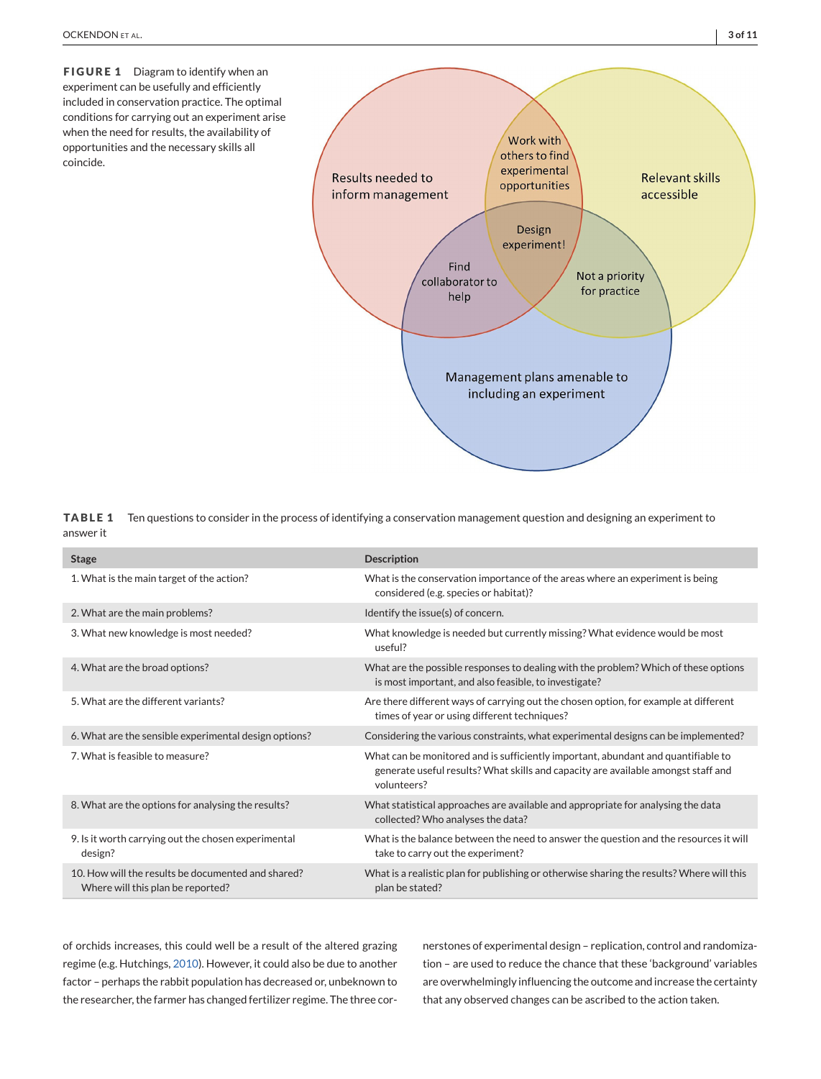<span id="page-2-0"></span>**FIGURE 1** Diagram to identify when an experiment can be usefully and efficiently included in conservation practice. The optimal conditions for carrying out an experiment arise when the need for results, the availability of opportunities and the necessary skills all coincide.



**TABLE 1** Ten questions to consider in the process of identifying a conservation management question and designing an experiment to answer it

| <b>Stage</b>                                                                            | <b>Description</b>                                                                                                                                                                    |  |
|-----------------------------------------------------------------------------------------|---------------------------------------------------------------------------------------------------------------------------------------------------------------------------------------|--|
| 1. What is the main target of the action?                                               | What is the conservation importance of the areas where an experiment is being<br>considered (e.g. species or habitat)?                                                                |  |
| 2. What are the main problems?                                                          | Identify the issue(s) of concern.                                                                                                                                                     |  |
| 3. What new knowledge is most needed?                                                   | What knowledge is needed but currently missing? What evidence would be most<br>useful?                                                                                                |  |
| 4. What are the broad options?                                                          | What are the possible responses to dealing with the problem? Which of these options<br>is most important, and also feasible, to investigate?                                          |  |
| 5. What are the different variants?                                                     | Are there different ways of carrying out the chosen option, for example at different<br>times of year or using different techniques?                                                  |  |
| 6. What are the sensible experimental design options?                                   | Considering the various constraints, what experimental designs can be implemented?                                                                                                    |  |
| 7. What is feasible to measure?                                                         | What can be monitored and is sufficiently important, abundant and quantifiable to<br>generate useful results? What skills and capacity are available amongst staff and<br>volunteers? |  |
| 8. What are the options for analysing the results?                                      | What statistical approaches are available and appropriate for analysing the data<br>collected? Who analyses the data?                                                                 |  |
| 9. Is it worth carrying out the chosen experimental<br>design?                          | What is the balance between the need to answer the question and the resources it will<br>take to carry out the experiment?                                                            |  |
| 10. How will the results be documented and shared?<br>Where will this plan be reported? | What is a realistic plan for publishing or otherwise sharing the results? Where will this<br>plan be stated?                                                                          |  |

of orchids increases, this could well be a result of the altered grazing regime (e.g. Hutchings, [2010\)](#page-9-0). However, it could also be due to another factor – perhaps the rabbit population has decreased or, unbeknown to the researcher, the farmer has changed fertilizer regime. The three cornerstones of experimental design – replication, control and randomization – are used to reduce the chance that these 'background' variables are overwhelmingly influencing the outcome and increase the certainty that any observed changes can be ascribed to the action taken.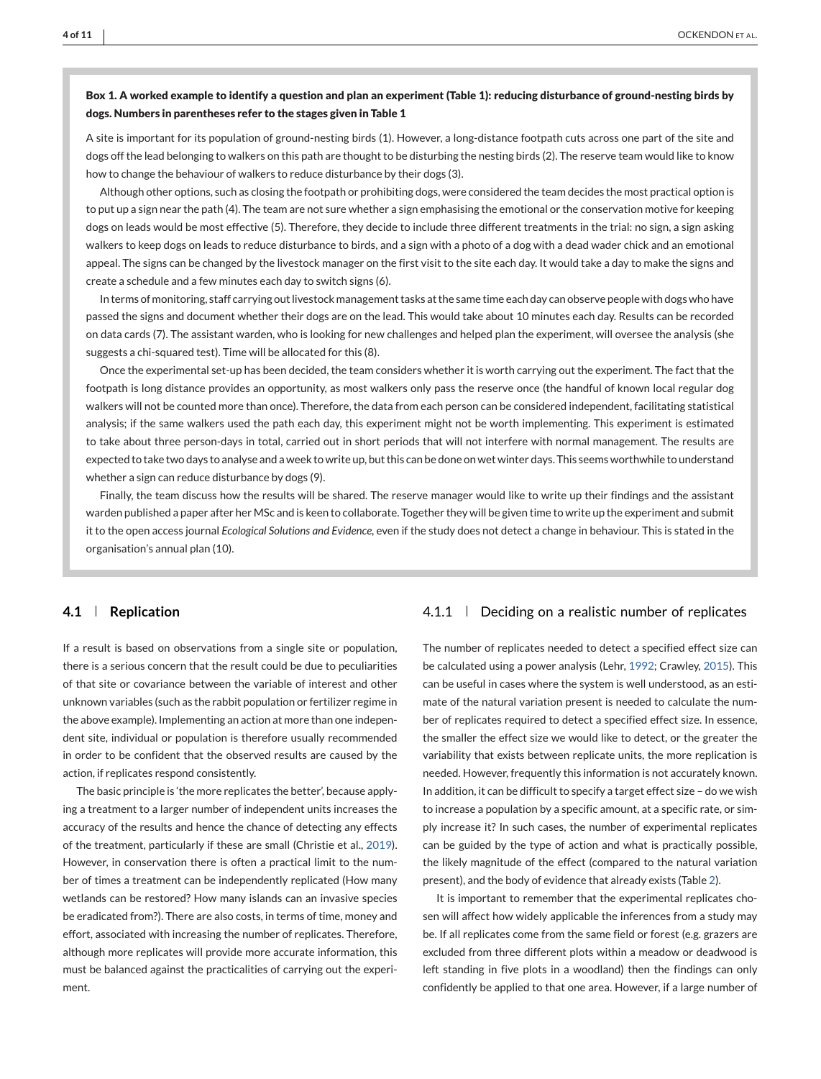### **Box 1. A worked example to identify a question and plan an experiment (Table 1): reducing disturbance of ground-nesting birds by dogs. Numbers in parentheses refer to the stages given in Table 1**

A site is important for its population of ground-nesting birds (1). However, a long-distance footpath cuts across one part of the site and dogs off the lead belonging to walkers on this path are thought to be disturbing the nesting birds (2). The reserve team would like to know how to change the behaviour of walkers to reduce disturbance by their dogs (3).

Although other options, such as closing the footpath or prohibiting dogs, were considered the team decides the most practical option is to put up a sign near the path (4). The team are not sure whether a sign emphasising the emotional or the conservation motive for keeping dogs on leads would be most effective (5). Therefore, they decide to include three different treatments in the trial: no sign, a sign asking walkers to keep dogs on leads to reduce disturbance to birds, and a sign with a photo of a dog with a dead wader chick and an emotional appeal. The signs can be changed by the livestock manager on the first visit to the site each day. It would take a day to make the signs and create a schedule and a few minutes each day to switch signs (6).

In terms of monitoring, staff carrying out livestock management tasks at the same time each day can observe people with dogs who have passed the signs and document whether their dogs are on the lead. This would take about 10 minutes each day. Results can be recorded on data cards (7). The assistant warden, who is looking for new challenges and helped plan the experiment, will oversee the analysis (she suggests a chi-squared test). Time will be allocated for this (8).

Once the experimental set-up has been decided, the team considers whether it is worth carrying out the experiment. The fact that the footpath is long distance provides an opportunity, as most walkers only pass the reserve once (the handful of known local regular dog walkers will not be counted more than once). Therefore, the data from each person can be considered independent, facilitating statistical analysis; if the same walkers used the path each day, this experiment might not be worth implementing. This experiment is estimated to take about three person-days in total, carried out in short periods that will not interfere with normal management. The results are expected to take two days to analyse and a week to write up, but this can be done on wet winter days. This seems worthwhile to understand whether a sign can reduce disturbance by dogs (9).

Finally, the team discuss how the results will be shared. The reserve manager would like to write up their findings and the assistant warden published a paper after her MSc and is keen to collaborate. Together they will be given time to write up the experiment and submit it to the open access journal *Ecological Solutions and Evidence*, even if the study does not detect a change in behaviour. This is stated in the organisation's annual plan (10).

### **4.1 Replication**

If a result is based on observations from a single site or population, there is a serious concern that the result could be due to peculiarities of that site or covariance between the variable of interest and other unknown variables (such as the rabbit population or fertilizer regime in the above example). Implementing an action at more than one independent site, individual or population is therefore usually recommended in order to be confident that the observed results are caused by the action, if replicates respond consistently.

The basic principle is 'the more replicates the better', because applying a treatment to a larger number of independent units increases the accuracy of the results and hence the chance of detecting any effects of the treatment, particularly if these are small (Christie et al., [2019\)](#page-9-0). However, in conservation there is often a practical limit to the number of times a treatment can be independently replicated (How many wetlands can be restored? How many islands can an invasive species be eradicated from?). There are also costs, in terms of time, money and effort, associated with increasing the number of replicates. Therefore, although more replicates will provide more accurate information, this must be balanced against the practicalities of carrying out the experiment.

## 4.1.1 **Deciding on a realistic number of replicates**

The number of replicates needed to detect a specified effect size can be calculated using a power analysis (Lehr, [1992;](#page-9-0) Crawley, [2015\)](#page-9-0). This can be useful in cases where the system is well understood, as an estimate of the natural variation present is needed to calculate the number of replicates required to detect a specified effect size. In essence, the smaller the effect size we would like to detect, or the greater the variability that exists between replicate units, the more replication is needed. However, frequently this information is not accurately known. In addition, it can be difficult to specify a target effect size – do we wish to increase a population by a specific amount, at a specific rate, or simply increase it? In such cases, the number of experimental replicates can be guided by the type of action and what is practically possible, the likely magnitude of the effect (compared to the natural variation present), and the body of evidence that already exists (Table [2\)](#page-4-0).

It is important to remember that the experimental replicates chosen will affect how widely applicable the inferences from a study may be. If all replicates come from the same field or forest (e.g. grazers are excluded from three different plots within a meadow or deadwood is left standing in five plots in a woodland) then the findings can only confidently be applied to that one area. However, if a large number of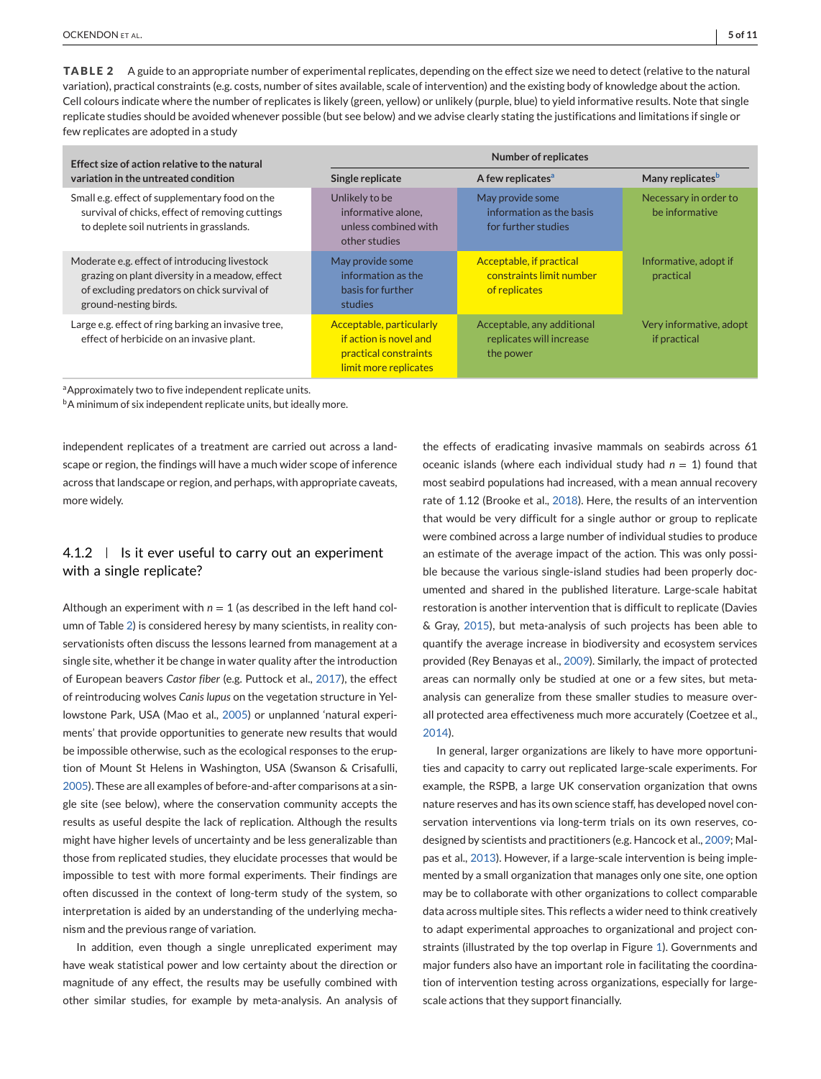<span id="page-4-0"></span>**TABLE 2** A guide to an appropriate number of experimental replicates, depending on the effect size we need to detect (relative to the natural variation), practical constraints (e.g. costs, number of sites available, scale of intervention) and the existing body of knowledge about the action. Cell colours indicate where the number of replicates is likely (green, yellow) or unlikely (purple, blue) to yield informative results. Note that single replicate studies should be avoided whenever possible (but see below) and we advise clearly stating the justifications and limitations if single or few replicates are adopted in a study

| Effect size of action relative to the natural                                                                                                                           | <b>Number of replicates</b>                                                                          |                                                                       |                                         |
|-------------------------------------------------------------------------------------------------------------------------------------------------------------------------|------------------------------------------------------------------------------------------------------|-----------------------------------------------------------------------|-----------------------------------------|
| variation in the untreated condition                                                                                                                                    | Single replicate                                                                                     | A few replicates <sup>a</sup>                                         | Many replicates <sup>b</sup>            |
| Small e.g. effect of supplementary food on the<br>survival of chicks, effect of removing cuttings<br>to deplete soil nutrients in grasslands.                           | Unlikely to be<br>informative alone,<br>unless combined with<br>other studies                        | May provide some<br>information as the basis<br>for further studies   | Necessary in order to<br>be informative |
| Moderate e.g. effect of introducing livestock<br>grazing on plant diversity in a meadow, effect<br>of excluding predators on chick survival of<br>ground-nesting birds. | May provide some<br>information as the<br>basis for further<br>studies                               | Acceptable, if practical<br>constraints limit number<br>of replicates | Informative, adopt if<br>practical      |
| Large e.g. effect of ring barking an invasive tree,<br>effect of herbicide on an invasive plant.                                                                        | Acceptable, particularly<br>if action is novel and<br>practical constraints<br>limit more replicates | Acceptable, any additional<br>replicates will increase<br>the power   | Very informative, adopt<br>if practical |

a Approximately two to five independent replicate units.

<sup>b</sup>A minimum of six independent replicate units, but ideally more.

independent replicates of a treatment are carried out across a landscape or region, the findings will have a much wider scope of inference across that landscape or region, and perhaps, with appropriate caveats, more widely.

# 4.1.2  $\parallel$  Is it ever useful to carry out an experiment with a single replicate?

Although an experiment with  $n = 1$  (as described in the left hand column of Table 2) is considered heresy by many scientists, in reality conservationists often discuss the lessons learned from management at a single site, whether it be change in water quality after the introduction of European beavers *Castor fiber* (e.g. Puttock et al., [2017\)](#page-9-0), the effect of reintroducing wolves *Canis lupus* on the vegetation structure in Yellowstone Park, USA (Mao et al., [2005\)](#page-9-0) or unplanned 'natural experiments' that provide opportunities to generate new results that would be impossible otherwise, such as the ecological responses to the eruption of Mount St Helens in Washington, USA (Swanson & Crisafulli, [2005\)](#page-10-0). These are all examples of before-and-after comparisons at a single site (see below), where the conservation community accepts the results as useful despite the lack of replication. Although the results might have higher levels of uncertainty and be less generalizable than those from replicated studies, they elucidate processes that would be impossible to test with more formal experiments. Their findings are often discussed in the context of long-term study of the system, so interpretation is aided by an understanding of the underlying mechanism and the previous range of variation.

In addition, even though a single unreplicated experiment may have weak statistical power and low certainty about the direction or magnitude of any effect, the results may be usefully combined with other similar studies, for example by meta-analysis. An analysis of

the effects of eradicating invasive mammals on seabirds across 61 oceanic islands (where each individual study had *n* = 1) found that most seabird populations had increased, with a mean annual recovery rate of 1.12 (Brooke et al., [2018\)](#page-9-0). Here, the results of an intervention that would be very difficult for a single author or group to replicate were combined across a large number of individual studies to produce an estimate of the average impact of the action. This was only possible because the various single-island studies had been properly documented and shared in the published literature. Large-scale habitat restoration is another intervention that is difficult to replicate (Davies & Gray, [2015\)](#page-9-0), but meta-analysis of such projects has been able to quantify the average increase in biodiversity and ecosystem services provided (Rey Benayas et al., [2009\)](#page-9-0). Similarly, the impact of protected areas can normally only be studied at one or a few sites, but metaanalysis can generalize from these smaller studies to measure overall protected area effectiveness much more accurately (Coetzee et al., [2014\)](#page-9-0).

In general, larger organizations are likely to have more opportunities and capacity to carry out replicated large-scale experiments. For example, the RSPB, a large UK conservation organization that owns nature reserves and has its own science staff, has developed novel conservation interventions via long-term trials on its own reserves, codesigned by scientists and practitioners (e.g. Hancock et al., [2009;](#page-9-0) Malpas et al., [2013\)](#page-9-0). However, if a large-scale intervention is being implemented by a small organization that manages only one site, one option may be to collaborate with other organizations to collect comparable data across multiple sites. This reflects a wider need to think creatively to adapt experimental approaches to organizational and project constraints (illustrated by the top overlap in Figure [1\)](#page-2-0). Governments and major funders also have an important role in facilitating the coordination of intervention testing across organizations, especially for largescale actions that they support financially.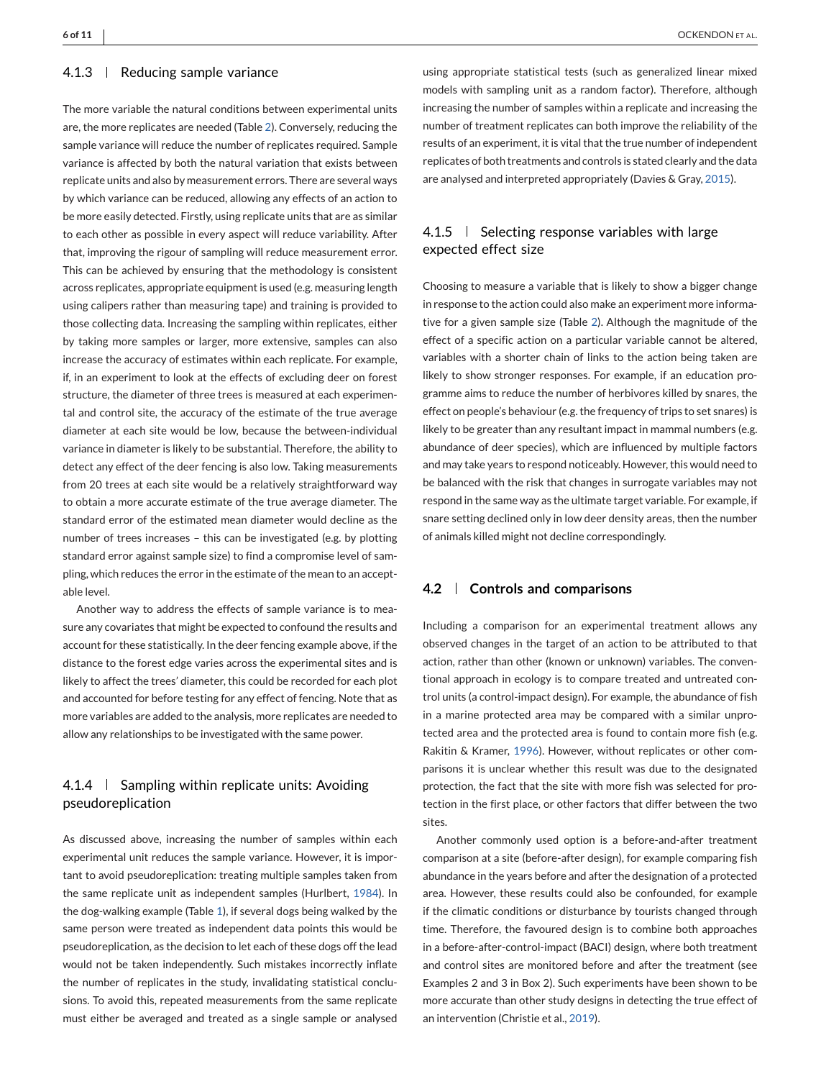#### 4.1.3 | Reducing sample variance

The more variable the natural conditions between experimental units are, the more replicates are needed (Table [2\)](#page-4-0). Conversely, reducing the sample variance will reduce the number of replicates required. Sample variance is affected by both the natural variation that exists between replicate units and also by measurement errors. There are several ways by which variance can be reduced, allowing any effects of an action to be more easily detected. Firstly, using replicate units that are as similar to each other as possible in every aspect will reduce variability. After that, improving the rigour of sampling will reduce measurement error. This can be achieved by ensuring that the methodology is consistent across replicates, appropriate equipment is used (e.g. measuring length using calipers rather than measuring tape) and training is provided to those collecting data. Increasing the sampling within replicates, either by taking more samples or larger, more extensive, samples can also increase the accuracy of estimates within each replicate. For example, if, in an experiment to look at the effects of excluding deer on forest structure, the diameter of three trees is measured at each experimental and control site, the accuracy of the estimate of the true average diameter at each site would be low, because the between-individual variance in diameter is likely to be substantial. Therefore, the ability to detect any effect of the deer fencing is also low. Taking measurements from 20 trees at each site would be a relatively straightforward way to obtain a more accurate estimate of the true average diameter. The standard error of the estimated mean diameter would decline as the number of trees increases – this can be investigated (e.g. by plotting standard error against sample size) to find a compromise level of sampling, which reduces the error in the estimate of the mean to an acceptable level.

Another way to address the effects of sample variance is to measure any covariates that might be expected to confound the results and account for these statistically. In the deer fencing example above, if the distance to the forest edge varies across the experimental sites and is likely to affect the trees' diameter, this could be recorded for each plot and accounted for before testing for any effect of fencing. Note that as more variables are added to the analysis, more replicates are needed to allow any relationships to be investigated with the same power.

# $4.1.4$  | Sampling within replicate units: Avoiding pseudoreplication

As discussed above, increasing the number of samples within each experimental unit reduces the sample variance. However, it is important to avoid pseudoreplication: treating multiple samples taken from the same replicate unit as independent samples (Hurlbert, [1984\)](#page-9-0). In the dog-walking example (Table [1\)](#page-2-0), if several dogs being walked by the same person were treated as independent data points this would be pseudoreplication, as the decision to let each of these dogs off the lead would not be taken independently. Such mistakes incorrectly inflate the number of replicates in the study, invalidating statistical conclusions. To avoid this, repeated measurements from the same replicate must either be averaged and treated as a single sample or analysed

using appropriate statistical tests (such as generalized linear mixed models with sampling unit as a random factor). Therefore, although increasing the number of samples within a replicate and increasing the number of treatment replicates can both improve the reliability of the results of an experiment, it is vital that the true number of independent replicates of both treatments and controls is stated clearly and the data are analysed and interpreted appropriately (Davies & Gray, [2015\)](#page-9-0).

# 4.1.5  $\parallel$  Selecting response variables with large expected effect size

Choosing to measure a variable that is likely to show a bigger change in response to the action could also make an experiment more informative for a given sample size (Table [2\)](#page-4-0). Although the magnitude of the effect of a specific action on a particular variable cannot be altered, variables with a shorter chain of links to the action being taken are likely to show stronger responses. For example, if an education programme aims to reduce the number of herbivores killed by snares, the effect on people's behaviour (e.g. the frequency of trips to set snares) is likely to be greater than any resultant impact in mammal numbers (e.g. abundance of deer species), which are influenced by multiple factors and may take years to respond noticeably. However, this would need to be balanced with the risk that changes in surrogate variables may not respond in the same way as the ultimate target variable. For example, if snare setting declined only in low deer density areas, then the number of animals killed might not decline correspondingly.

### **4.2 Controls and comparisons**

Including a comparison for an experimental treatment allows any observed changes in the target of an action to be attributed to that action, rather than other (known or unknown) variables. The conventional approach in ecology is to compare treated and untreated control units (a control-impact design). For example, the abundance of fish in a marine protected area may be compared with a similar unprotected area and the protected area is found to contain more fish (e.g. Rakitin & Kramer, [1996\)](#page-9-0). However, without replicates or other comparisons it is unclear whether this result was due to the designated protection, the fact that the site with more fish was selected for protection in the first place, or other factors that differ between the two sites.

Another commonly used option is a before-and-after treatment comparison at a site (before-after design), for example comparing fish abundance in the years before and after the designation of a protected area. However, these results could also be confounded, for example if the climatic conditions or disturbance by tourists changed through time. Therefore, the favoured design is to combine both approaches in a before-after-control-impact (BACI) design, where both treatment and control sites are monitored before and after the treatment (see Examples 2 and 3 in Box 2). Such experiments have been shown to be more accurate than other study designs in detecting the true effect of an intervention (Christie et al., [2019\)](#page-9-0).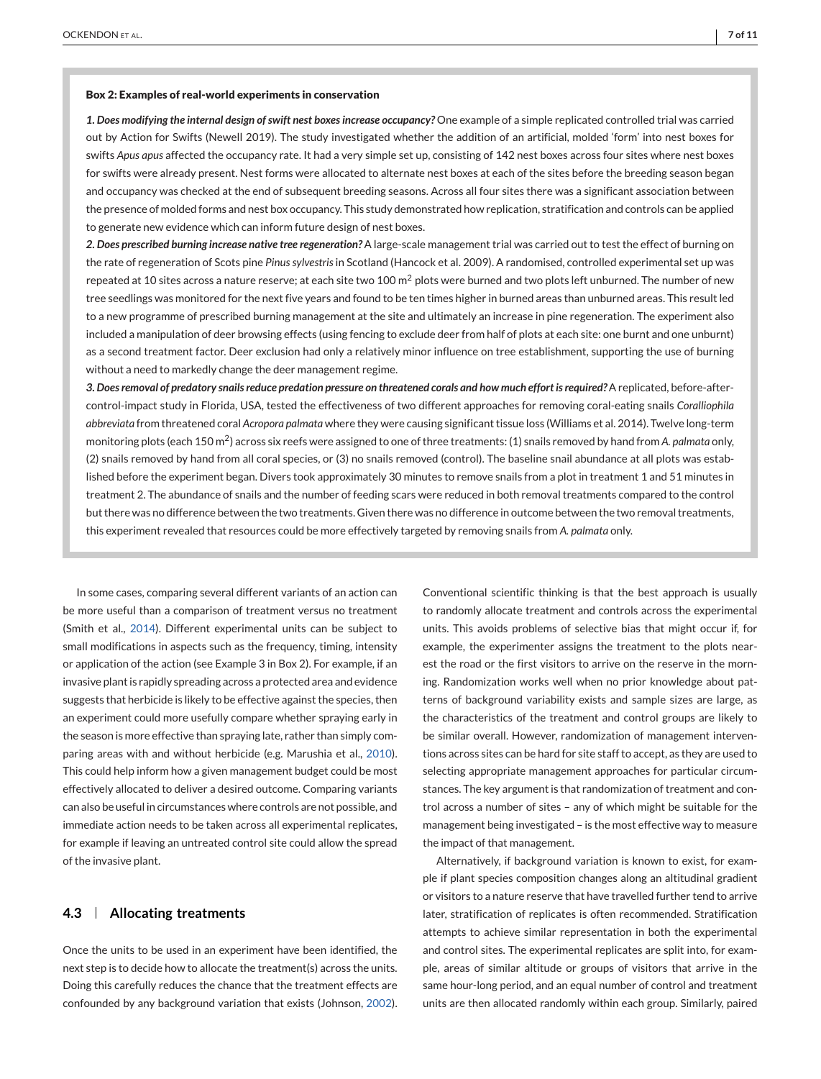#### **Box 2: Examples of real-world experiments in conservation**

*1. Does modifying the internal design of swift nest boxes increase occupancy?* One example of a simple replicated controlled trial was carried out by Action for Swifts (Newell 2019). The study investigated whether the addition of an artificial, molded 'form' into nest boxes for swifts *Apus apus* affected the occupancy rate. It had a very simple set up, consisting of 142 nest boxes across four sites where nest boxes for swifts were already present. Nest forms were allocated to alternate nest boxes at each of the sites before the breeding season began and occupancy was checked at the end of subsequent breeding seasons. Across all four sites there was a significant association between the presence of molded forms and nest box occupancy. This study demonstrated how replication, stratification and controls can be applied to generate new evidence which can inform future design of nest boxes.

*2. Does prescribed burning increase native tree regeneration?* A large-scale management trial was carried out to test the effect of burning on the rate of regeneration of Scots pine *Pinus sylvestris* in Scotland (Hancock et al. 2009). A randomised, controlled experimental set up was repeated at 10 sites across a nature reserve; at each site two 100  $m^2$  plots were burned and two plots left unburned. The number of new tree seedlings was monitored for the next five years and found to be ten times higher in burned areas than unburned areas. This result led to a new programme of prescribed burning management at the site and ultimately an increase in pine regeneration. The experiment also included a manipulation of deer browsing effects (using fencing to exclude deer from half of plots at each site: one burnt and one unburnt) as a second treatment factor. Deer exclusion had only a relatively minor influence on tree establishment, supporting the use of burning without a need to markedly change the deer management regime.

*3. Does removal of predatory snails reduce predation pressure on threatened corals and how much effort is required?*A replicated, before-aftercontrol-impact study in Florida, USA, tested the effectiveness of two different approaches for removing coral-eating snails *Coralliophila abbreviata* from threatened coral *Acropora palmata* where they were causing significant tissue loss (Williams et al. 2014). Twelve long-term monitoring plots (each 150 m2) across six reefs were assigned to one of three treatments: (1) snails removed by hand from *A. palmata* only, (2) snails removed by hand from all coral species, or (3) no snails removed (control). The baseline snail abundance at all plots was established before the experiment began. Divers took approximately 30 minutes to remove snails from a plot in treatment 1 and 51 minutes in treatment 2. The abundance of snails and the number of feeding scars were reduced in both removal treatments compared to the control but there was no difference between the two treatments. Given there was no difference in outcome between the two removal treatments, this experiment revealed that resources could be more effectively targeted by removing snails from *A. palmata* only.

In some cases, comparing several different variants of an action can be more useful than a comparison of treatment versus no treatment (Smith et al., [2014\)](#page-9-0). Different experimental units can be subject to small modifications in aspects such as the frequency, timing, intensity or application of the action (see Example 3 in Box 2). For example, if an invasive plant is rapidly spreading across a protected area and evidence suggests that herbicide is likely to be effective against the species, then an experiment could more usefully compare whether spraying early in the season is more effective than spraying late, rather than simply comparing areas with and without herbicide (e.g. Marushia et al., [2010\)](#page-9-0). This could help inform how a given management budget could be most effectively allocated to deliver a desired outcome. Comparing variants can also be useful in circumstances where controls are not possible, and immediate action needs to be taken across all experimental replicates, for example if leaving an untreated control site could allow the spread of the invasive plant.

### **4.3 Allocating treatments**

Once the units to be used in an experiment have been identified, the next step is to decide how to allocate the treatment(s) across the units. Doing this carefully reduces the chance that the treatment effects are confounded by any background variation that exists (Johnson, [2002\)](#page-9-0).

Conventional scientific thinking is that the best approach is usually to randomly allocate treatment and controls across the experimental units. This avoids problems of selective bias that might occur if, for example, the experimenter assigns the treatment to the plots nearest the road or the first visitors to arrive on the reserve in the morning. Randomization works well when no prior knowledge about patterns of background variability exists and sample sizes are large, as the characteristics of the treatment and control groups are likely to be similar overall. However, randomization of management interventions across sites can be hard for site staff to accept, as they are used to selecting appropriate management approaches for particular circumstances. The key argument is that randomization of treatment and control across a number of sites – any of which might be suitable for the management being investigated – is the most effective way to measure the impact of that management.

Alternatively, if background variation is known to exist, for example if plant species composition changes along an altitudinal gradient or visitors to a nature reserve that have travelled further tend to arrive later, stratification of replicates is often recommended. Stratification attempts to achieve similar representation in both the experimental and control sites. The experimental replicates are split into, for example, areas of similar altitude or groups of visitors that arrive in the same hour-long period, and an equal number of control and treatment units are then allocated randomly within each group. Similarly, paired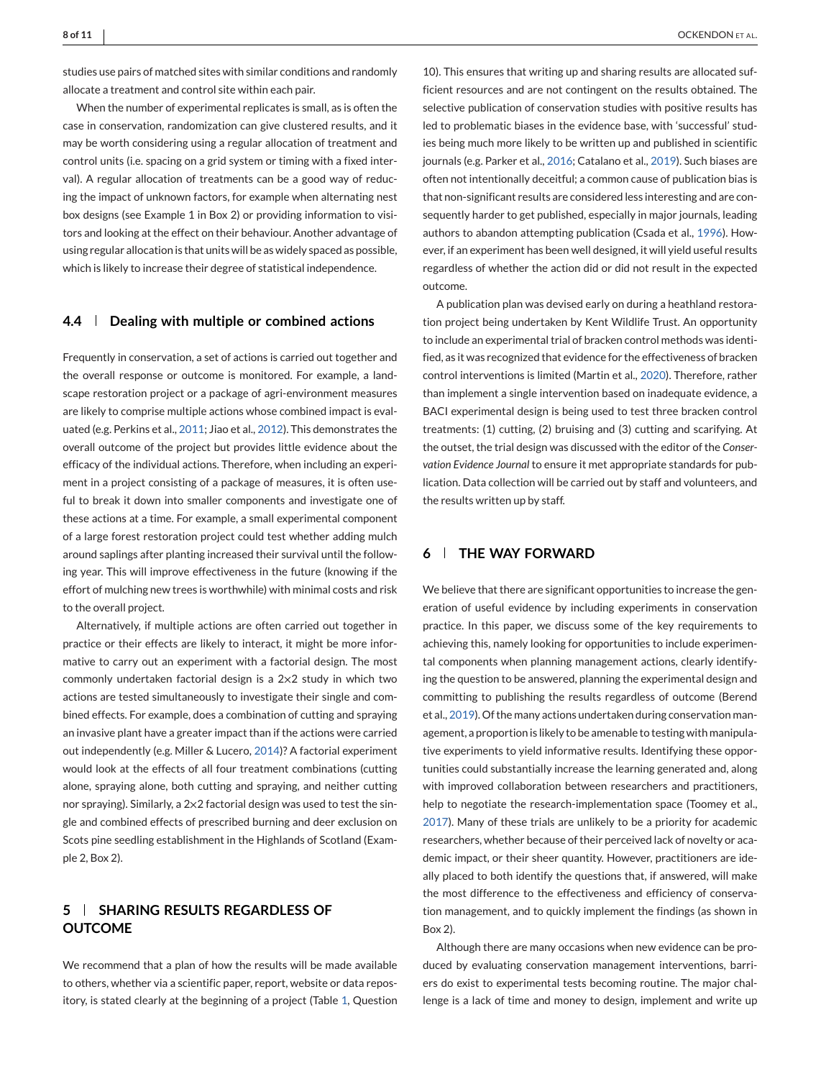studies use pairs of matched sites with similar conditions and randomly allocate a treatment and control site within each pair.

When the number of experimental replicates is small, as is often the case in conservation, randomization can give clustered results, and it may be worth considering using a regular allocation of treatment and control units (i.e. spacing on a grid system or timing with a fixed interval). A regular allocation of treatments can be a good way of reducing the impact of unknown factors, for example when alternating nest box designs (see Example 1 in Box 2) or providing information to visitors and looking at the effect on their behaviour. Another advantage of using regular allocation is that units will be as widely spaced as possible, which is likely to increase their degree of statistical independence.

### **4.4 Dealing with multiple or combined actions**

Frequently in conservation, a set of actions is carried out together and the overall response or outcome is monitored. For example, a landscape restoration project or a package of agri-environment measures are likely to comprise multiple actions whose combined impact is evaluated (e.g. Perkins et al., [2011;](#page-9-0) Jiao et al., [2012\)](#page-9-0). This demonstrates the overall outcome of the project but provides little evidence about the efficacy of the individual actions. Therefore, when including an experiment in a project consisting of a package of measures, it is often useful to break it down into smaller components and investigate one of these actions at a time. For example, a small experimental component of a large forest restoration project could test whether adding mulch around saplings after planting increased their survival until the following year. This will improve effectiveness in the future (knowing if the effort of mulching new trees is worthwhile) with minimal costs and risk to the overall project.

Alternatively, if multiple actions are often carried out together in practice or their effects are likely to interact, it might be more informative to carry out an experiment with a factorial design. The most commonly undertaken factorial design is a 2×2 study in which two actions are tested simultaneously to investigate their single and combined effects. For example, does a combination of cutting and spraying an invasive plant have a greater impact than if the actions were carried out independently (e.g. Miller & Lucero, [2014\)](#page-9-0)? A factorial experiment would look at the effects of all four treatment combinations (cutting alone, spraying alone, both cutting and spraying, and neither cutting nor spraying). Similarly, a 2×2 factorial design was used to test the single and combined effects of prescribed burning and deer exclusion on Scots pine seedling establishment in the Highlands of Scotland (Example 2, Box 2).

# **5 SHARING RESULTS REGARDLESS OF OUTCOME**

We recommend that a plan of how the results will be made available to others, whether via a scientific paper, report, website or data repository, is stated clearly at the beginning of a project (Table [1,](#page-2-0) Question

10). This ensures that writing up and sharing results are allocated sufficient resources and are not contingent on the results obtained. The selective publication of conservation studies with positive results has led to problematic biases in the evidence base, with 'successful' studies being much more likely to be written up and published in scientific journals (e.g. Parker et al., [2016;](#page-9-0) Catalano et al., [2019\)](#page-9-0). Such biases are often not intentionally deceitful; a common cause of publication bias is that non-significant results are considered less interesting and are consequently harder to get published, especially in major journals, leading authors to abandon attempting publication (Csada et al., [1996\)](#page-9-0). However, if an experiment has been well designed, it will yield useful results regardless of whether the action did or did not result in the expected outcome.

A publication plan was devised early on during a heathland restoration project being undertaken by Kent Wildlife Trust. An opportunity to include an experimental trial of bracken control methods was identified, as it was recognized that evidence for the effectiveness of bracken control interventions is limited (Martin et al., [2020\)](#page-9-0). Therefore, rather than implement a single intervention based on inadequate evidence, a BACI experimental design is being used to test three bracken control treatments: (1) cutting, (2) bruising and (3) cutting and scarifying. At the outset, the trial design was discussed with the editor of the *Conservation Evidence Journal* to ensure it met appropriate standards for publication. Data collection will be carried out by staff and volunteers, and the results written up by staff.

### **6 THE WAY FORWARD**

We believe that there are significant opportunities to increase the generation of useful evidence by including experiments in conservation practice. In this paper, we discuss some of the key requirements to achieving this, namely looking for opportunities to include experimental components when planning management actions, clearly identifying the question to be answered, planning the experimental design and committing to publishing the results regardless of outcome (Berend et al., [2019\)](#page-9-0). Of the many actions undertaken during conservation management, a proportion is likely to be amenable to testing with manipulative experiments to yield informative results. Identifying these opportunities could substantially increase the learning generated and, along with improved collaboration between researchers and practitioners, help to negotiate the research-implementation space (Toomey et al., [2017\)](#page-10-0). Many of these trials are unlikely to be a priority for academic researchers, whether because of their perceived lack of novelty or academic impact, or their sheer quantity. However, practitioners are ideally placed to both identify the questions that, if answered, will make the most difference to the effectiveness and efficiency of conservation management, and to quickly implement the findings (as shown in Box 2).

Although there are many occasions when new evidence can be produced by evaluating conservation management interventions, barriers do exist to experimental tests becoming routine. The major challenge is a lack of time and money to design, implement and write up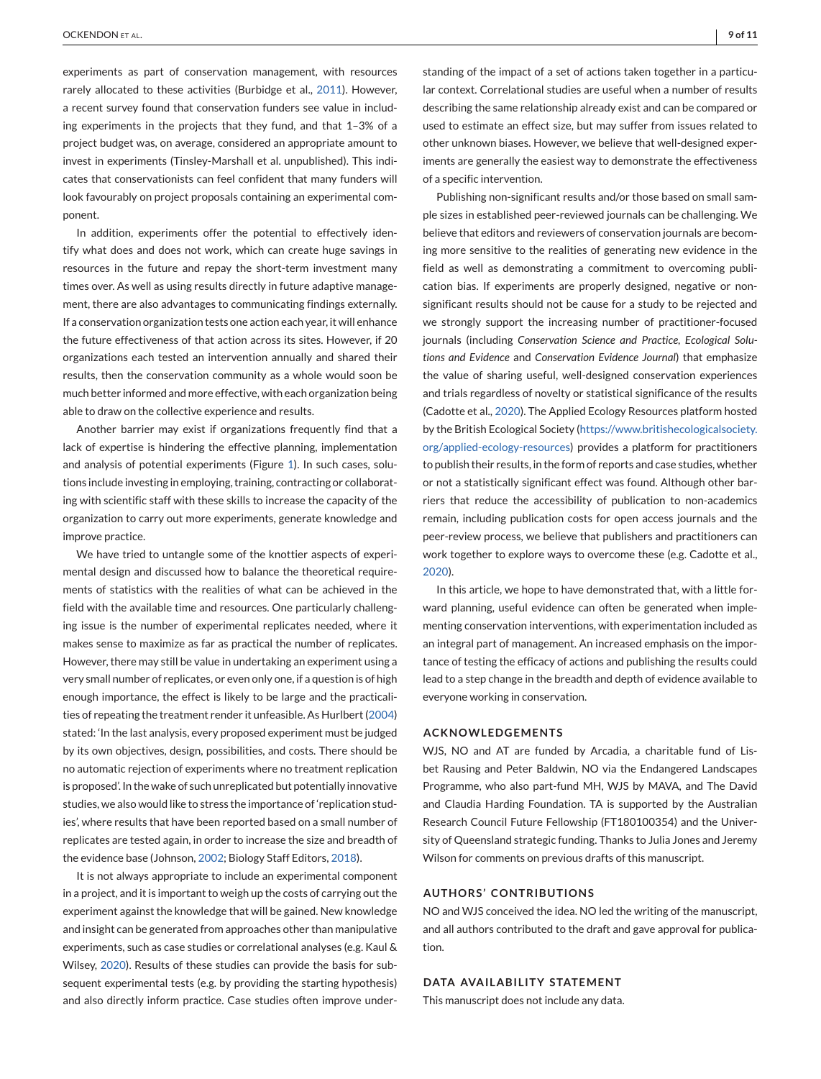experiments as part of conservation management, with resources rarely allocated to these activities (Burbidge et al., [2011\)](#page-9-0). However, a recent survey found that conservation funders see value in including experiments in the projects that they fund, and that 1–3% of a project budget was, on average, considered an appropriate amount to invest in experiments (Tinsley-Marshall et al. unpublished). This indicates that conservationists can feel confident that many funders will look favourably on project proposals containing an experimental component.

In addition, experiments offer the potential to effectively identify what does and does not work, which can create huge savings in resources in the future and repay the short-term investment many times over. As well as using results directly in future adaptive management, there are also advantages to communicating findings externally. If a conservation organization tests one action each year, it will enhance the future effectiveness of that action across its sites. However, if 20 organizations each tested an intervention annually and shared their results, then the conservation community as a whole would soon be much better informed and more effective, with each organization being able to draw on the collective experience and results.

Another barrier may exist if organizations frequently find that a lack of expertise is hindering the effective planning, implementation and analysis of potential experiments (Figure [1\)](#page-2-0). In such cases, solutions include investing in employing, training, contracting or collaborating with scientific staff with these skills to increase the capacity of the organization to carry out more experiments, generate knowledge and improve practice.

We have tried to untangle some of the knottier aspects of experimental design and discussed how to balance the theoretical requirements of statistics with the realities of what can be achieved in the field with the available time and resources. One particularly challenging issue is the number of experimental replicates needed, where it makes sense to maximize as far as practical the number of replicates. However, there may still be value in undertaking an experiment using a very small number of replicates, or even only one, if a question is of high enough importance, the effect is likely to be large and the practicalities of repeating the treatment render it unfeasible. As Hurlbert [\(2004\)](#page-9-0) stated: 'In the last analysis, every proposed experiment must be judged by its own objectives, design, possibilities, and costs. There should be no automatic rejection of experiments where no treatment replication is proposed'. In the wake of such unreplicated but potentially innovative studies, we also would like to stress the importance of 'replication studies', where results that have been reported based on a small number of replicates are tested again, in order to increase the size and breadth of the evidence base (Johnson, [2002;](#page-9-0) Biology Staff Editors, [2018\)](#page-9-0).

It is not always appropriate to include an experimental component in a project, and it is important to weigh up the costs of carrying out the experiment against the knowledge that will be gained. New knowledge and insight can be generated from approaches other than manipulative experiments, such as case studies or correlational analyses (e.g. Kaul & Wilsey, [2020\)](#page-9-0). Results of these studies can provide the basis for subsequent experimental tests (e.g. by providing the starting hypothesis) and also directly inform practice. Case studies often improve understanding of the impact of a set of actions taken together in a particular context. Correlational studies are useful when a number of results describing the same relationship already exist and can be compared or used to estimate an effect size, but may suffer from issues related to other unknown biases. However, we believe that well-designed experiments are generally the easiest way to demonstrate the effectiveness of a specific intervention.

Publishing non-significant results and/or those based on small sample sizes in established peer-reviewed journals can be challenging. We believe that editors and reviewers of conservation journals are becoming more sensitive to the realities of generating new evidence in the field as well as demonstrating a commitment to overcoming publication bias. If experiments are properly designed, negative or nonsignificant results should not be cause for a study to be rejected and we strongly support the increasing number of practitioner-focused journals (including *Conservation Science and Practice*, *Ecological Solutions and Evidence* and *Conservation Evidence Journal*) that emphasize the value of sharing useful, well-designed conservation experiences and trials regardless of novelty or statistical significance of the results (Cadotte et al., [2020\)](#page-9-0). The Applied Ecology Resources platform hosted by the British Ecological Society [\(https://www.britishecologicalsociety.](https://www.britishecologicalsociety.org/applied-ecology-resources) [org/applied-ecology-resources\)](https://www.britishecologicalsociety.org/applied-ecology-resources) provides a platform for practitioners to publish their results, in the form of reports and case studies, whether or not a statistically significant effect was found. Although other barriers that reduce the accessibility of publication to non-academics remain, including publication costs for open access journals and the peer-review process, we believe that publishers and practitioners can work together to explore ways to overcome these (e.g. Cadotte et al., [2020\)](#page-9-0).

In this article, we hope to have demonstrated that, with a little forward planning, useful evidence can often be generated when implementing conservation interventions, with experimentation included as an integral part of management. An increased emphasis on the importance of testing the efficacy of actions and publishing the results could lead to a step change in the breadth and depth of evidence available to everyone working in conservation.

#### **ACKNOWLEDGEMENTS**

WJS, NO and AT are funded by Arcadia, a charitable fund of Lisbet Rausing and Peter Baldwin, NO via the Endangered Landscapes Programme, who also part-fund MH, WJS by MAVA, and The David and Claudia Harding Foundation. TA is supported by the Australian Research Council Future Fellowship (FT180100354) and the University of Queensland strategic funding. Thanks to Julia Jones and Jeremy Wilson for comments on previous drafts of this manuscript.

### **AUTHORS' CONTRIBUTIONS**

NO and WJS conceived the idea. NO led the writing of the manuscript, and all authors contributed to the draft and gave approval for publication.

#### **DATA AVAILABILITY STATEMENT**

This manuscript does not include any data.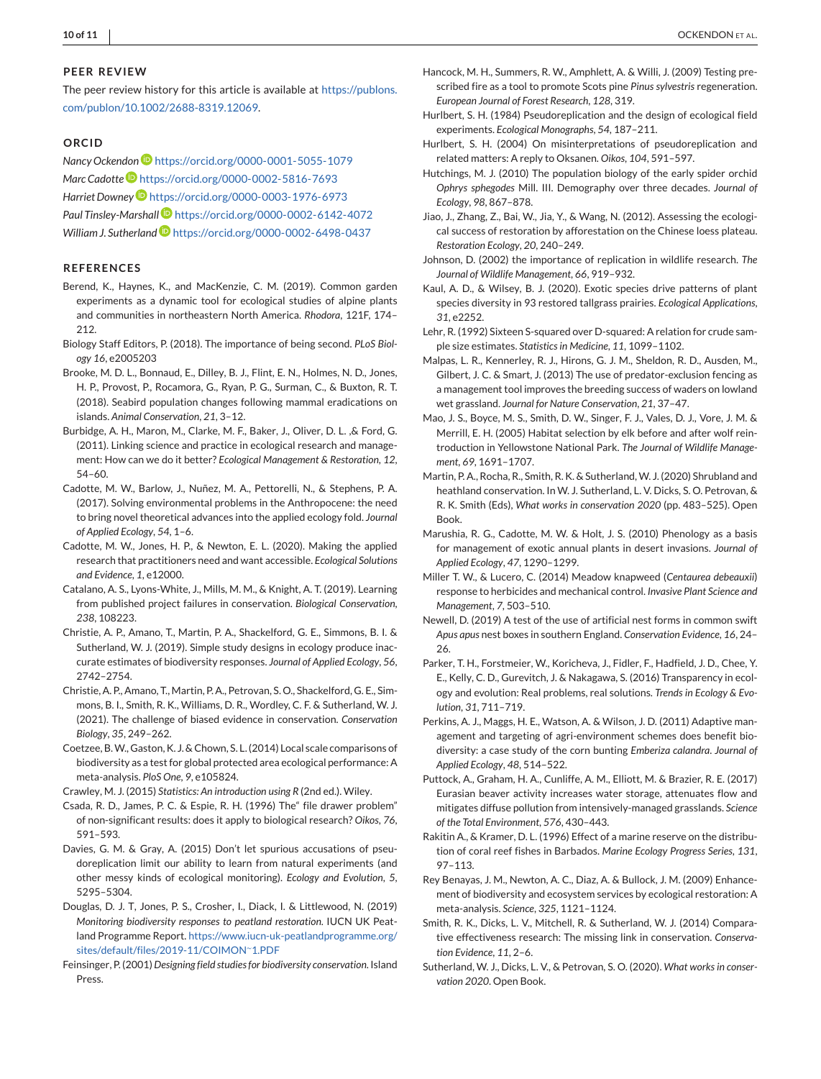#### <span id="page-9-0"></span>**PEER REVIEW**

The peer review history for this article is available at [https://publons.](https://publons.com/publon/10.1002/2688-8319.12069) [com/publon/10.1002/2688-8319.12069.](https://publons.com/publon/10.1002/2688-8319.12069)

#### **ORCID**

*Nancy Ockendon* <https://orcid.org/0000-0001-5055-1079> *Marc Cadotte* <https://orcid.org/0000-0002-5816-7693> *Harriet Downe[y](https://orcid.org/0000-0003-1976-6973)* <https://orcid.org/0000-0003-1976-6973> *Paul Tinsley-Marshall* <https://orcid.org/0000-0002-6142-4072> *William J. Sutherlan[d](https://orcid.org/0000-0002-6498-0437)* <https://orcid.org/0000-0002-6498-0437>

#### **REFERENCES**

- Berend, K., Haynes, K., and MacKenzie, C. M. (2019). Common garden experiments as a dynamic tool for ecological studies of alpine plants and communities in northeastern North America. *Rhodora*, 121F, 174– 212.
- Biology Staff Editors, P. (2018). The importance of being second. *PLoS Biology 16*, e2005203
- Brooke, M. D. L., Bonnaud, E., Dilley, B. J., Flint, E. N., Holmes, N. D., Jones, H. P., Provost, P., Rocamora, G., Ryan, P. G., Surman, C., & Buxton, R. T. (2018). Seabird population changes following mammal eradications on islands. *Animal Conservation*, *21*, 3–12.
- Burbidge, A. H., Maron, M., Clarke, M. F., Baker, J., Oliver, D. L. ,& Ford, G. (2011). Linking science and practice in ecological research and management: How can we do it better? *Ecological Management & Restoration*, *12*, 54–60.
- Cadotte, M. W., Barlow, J., Nuñez, M. A., Pettorelli, N., & Stephens, P. A. (2017). Solving environmental problems in the Anthropocene: the need to bring novel theoretical advances into the applied ecology fold. *Journal of Applied Ecology*, *54*, 1–6.
- Cadotte, M. W., Jones, H. P., & Newton, E. L. (2020). Making the applied research that practitioners need and want accessible. *Ecological Solutions and Evidence*, *1*, e12000.
- Catalano, A. S., Lyons-White, J., Mills, M. M., & Knight, A. T. (2019). Learning from published project failures in conservation. *Biological Conservation*, *238*, 108223.
- Christie, A. P., Amano, T., Martin, P. A., Shackelford, G. E., Simmons, B. I. & Sutherland, W. J. (2019). Simple study designs in ecology produce inaccurate estimates of biodiversity responses. *Journal of Applied Ecology*, *56*, 2742–2754.
- Christie, A. P., Amano, T., Martin, P. A., Petrovan, S. O., Shackelford, G. E., Simmons, B. I., Smith, R. K., Williams, D. R., Wordley, C. F. & Sutherland, W. J. (2021). The challenge of biased evidence in conservation. *Conservation Biology*, *35*, 249–262.
- Coetzee, B.W., Gaston, K. J. & Chown, S. L. (2014) Local scale comparisons of biodiversity as a test for global protected area ecological performance: A meta-analysis. *PloS One*, *9*, e105824.

Crawley, M. J. (2015) *Statistics: An introduction using R* (2nd ed.). Wiley.

- Csada, R. D., James, P. C. & Espie, R. H. (1996) The" file drawer problem" of non-significant results: does it apply to biological research? *Oikos*, *76*, 591–593.
- Davies, G. M. & Gray, A. (2015) Don't let spurious accusations of pseudoreplication limit our ability to learn from natural experiments (and other messy kinds of ecological monitoring). *Ecology and Evolution*, *5*, 5295–5304.
- Douglas, D. J. T, Jones, P. S., Crosher, I., Diack, I. & Littlewood, N. (2019) *Monitoring biodiversity responses to peatland restoration*. IUCN UK Peatland Programme Report. [https://www.iucn-uk-peatlandprogramme.org/](https://www.iucn-uk-peatlandprogramme.org/sites/default/files/2019-11/COIMON%7E1.PDF) [sites/default/files/2019-11/COIMON](https://www.iucn-uk-peatlandprogramme.org/sites/default/files/2019-11/COIMON%7E1.PDF)<sup>∼</sup>1.PDF
- Feinsinger, P. (2001)*Designing field studies for biodiversity conservation*. Island Press.
- Hancock, M. H., Summers, R. W., Amphlett, A. & Willi, J. (2009) Testing prescribed fire as a tool to promote Scots pine *Pinus sylvestris* regeneration. *European Journal of Forest Research*, *128*, 319.
- Hurlbert, S. H. (1984) Pseudoreplication and the design of ecological field experiments. *Ecological Monographs*, *54*, 187–211.
- Hurlbert, S. H. (2004) On misinterpretations of pseudoreplication and related matters: A reply to Oksanen. *Oikos*, *104*, 591–597.
- Hutchings, M. J. (2010) The population biology of the early spider orchid *Ophrys sphegodes* Mill. III. Demography over three decades. *Journal of Ecology*, *98*, 867–878.
- Jiao, J., Zhang, Z., Bai, W., Jia, Y., & Wang, N. (2012). Assessing the ecological success of restoration by afforestation on the Chinese loess plateau. *Restoration Ecology*, *20*, 240–249.
- Johnson, D. (2002) the importance of replication in wildlife research. *The Journal of Wildlife Management*, *66*, 919–932.
- Kaul, A. D., & Wilsey, B. J. (2020). Exotic species drive patterns of plant species diversity in 93 restored tallgrass prairies. *Ecological Applications*, *31*, e2252.
- Lehr, R. (1992) Sixteen S-squared over D-squared: A relation for crude sample size estimates. *Statistics in Medicine*, *11*, 1099–1102.
- Malpas, L. R., Kennerley, R. J., Hirons, G. J. M., Sheldon, R. D., Ausden, M., Gilbert, J. C. & Smart, J. (2013) The use of predator-exclusion fencing as a management tool improves the breeding success of waders on lowland wet grassland. *Journal for Nature Conservation*, *21*, 37–47.
- Mao, J. S., Boyce, M. S., Smith, D. W., Singer, F. J., Vales, D. J., Vore, J. M. & Merrill, E. H. (2005) Habitat selection by elk before and after wolf reintroduction in Yellowstone National Park. *The Journal of Wildlife Management*, *69*, 1691–1707.
- Martin, P. A., Rocha, R., Smith, R. K. & Sutherland, W. J. (2020) Shrubland and heathland conservation. In W. J. Sutherland, L. V. Dicks, S. O. Petrovan, & R. K. Smith (Eds), *What works in conservation 2020* (pp. 483–525). Open Book.
- Marushia, R. G., Cadotte, M. W. & Holt, J. S. (2010) Phenology as a basis for management of exotic annual plants in desert invasions. *Journal of Applied Ecology*, *47*, 1290–1299.
- Miller T. W., & Lucero, C. (2014) Meadow knapweed (*Centaurea debeauxii*) response to herbicides and mechanical control. *Invasive Plant Science and Management*, *7*, 503–510.
- Newell, D. (2019) A test of the use of artificial nest forms in common swift *Apus apus* nest boxes in southern England. *Conservation Evidence*, *16*, 24– 26.
- Parker, T. H., Forstmeier, W., Koricheva, J., Fidler, F., Hadfield, J. D., Chee, Y. E., Kelly, C. D., Gurevitch, J. & Nakagawa, S. (2016) Transparency in ecology and evolution: Real problems, real solutions. *Trends in Ecology & Evolution*, *31*, 711–719.
- Perkins, A. J., Maggs, H. E., Watson, A. & Wilson, J. D. (2011) Adaptive management and targeting of agri-environment schemes does benefit biodiversity: a case study of the corn bunting *Emberiza calandra*. *Journal of Applied Ecology*, *48*, 514–522.
- Puttock, A., Graham, H. A., Cunliffe, A. M., Elliott, M. & Brazier, R. E. (2017) Eurasian beaver activity increases water storage, attenuates flow and mitigates diffuse pollution from intensively-managed grasslands. *Science of the Total Environment*, *576*, 430–443.
- Rakitin A., & Kramer, D. L. (1996) Effect of a marine reserve on the distribution of coral reef fishes in Barbados. *Marine Ecology Progress Series*, *131*, 97–113.
- Rey Benayas, J. M., Newton, A. C., Diaz, A. & Bullock, J. M. (2009) Enhancement of biodiversity and ecosystem services by ecological restoration: A meta-analysis. *Science*, *325*, 1121–1124.
- Smith, R. K., Dicks, L. V., Mitchell, R. & Sutherland, W. J. (2014) Comparative effectiveness research: The missing link in conservation. *Conservation Evidence*, *11*, 2–6.
- Sutherland, W. J., Dicks, L. V., & Petrovan, S. O. (2020). *What works in conservation 2020*. Open Book.